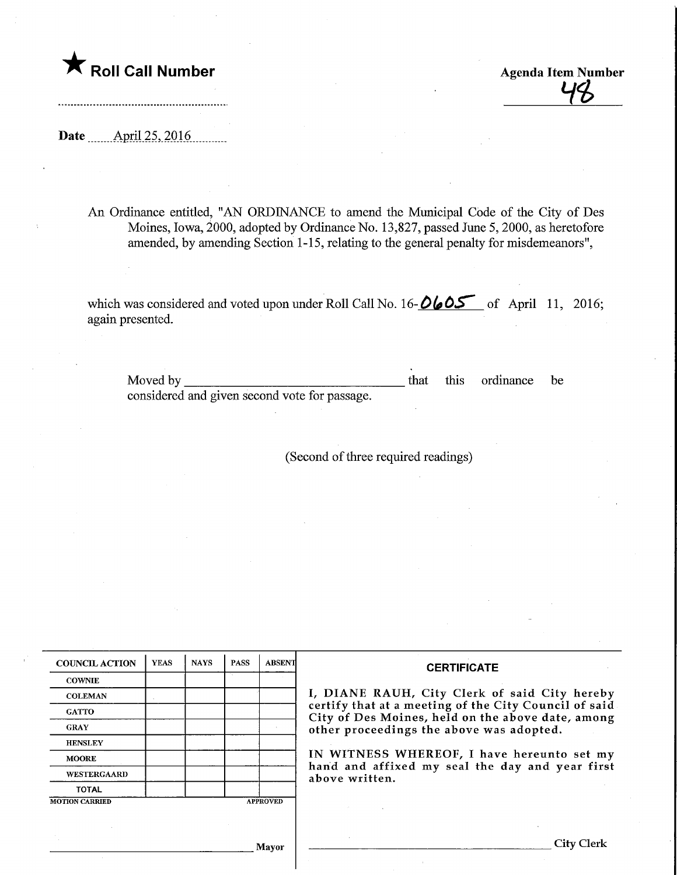$\bigstar$  Roll Call Number

**Agenda Item Number** 

Date **April 25, 2016**.

\_\_\_\_\_\_\_\_\_\_\_\_\_\_\_\_\_\_\_\_\_\_\_\_\_\_\_

An Ordinance entitled, "AN ORDINANCE to amend the Municipal Code of the City of Des Moines, Iowa, 2000, adopted by Ordinance No. 13,827, passed June 5,2000, as heretofore amended, by amending Section 1-15, relating to the general penalty for misdemeanors",

which was considered and voted upon under Roll Call No. 16- $\frac{\partial \phi}{\partial s}$  of April 11, 2016; again presented.

Moved by considered and given second vote for passage. that this ordinance be

(Second of three required readings)

| <b>COUNCIL ACTION</b> | <b>YEAS</b> | <b>NAYS</b> | <b>PASS</b> | <b>ABSENT</b>   | <b>CERTIFICATE</b>                                                                                         |
|-----------------------|-------------|-------------|-------------|-----------------|------------------------------------------------------------------------------------------------------------|
| <b>COWNIE</b>         |             |             |             |                 |                                                                                                            |
| <b>COLEMAN</b>        |             |             |             |                 | I, DIANE RAUH, City Clerk of said City hereby                                                              |
| <b>GATTO</b>          |             |             |             |                 | certify that at a meeting of the City Council of said<br>City of Des Moines, held on the above date, among |
| <b>GRAY</b>           |             |             |             |                 | other proceedings the above was adopted.                                                                   |
| <b>HENSLEY</b>        |             |             |             |                 |                                                                                                            |
| <b>MOORE</b>          |             |             |             |                 | IN WITNESS WHEREOF, I have hereunto set my                                                                 |
| WESTERGAARD           |             |             |             |                 | hand and affixed my seal the day and year first<br>above written.                                          |
| <b>TOTAL</b>          |             |             |             |                 |                                                                                                            |
| <b>MOTION CARRIED</b> |             |             |             | <b>APPROVED</b> |                                                                                                            |

.] layor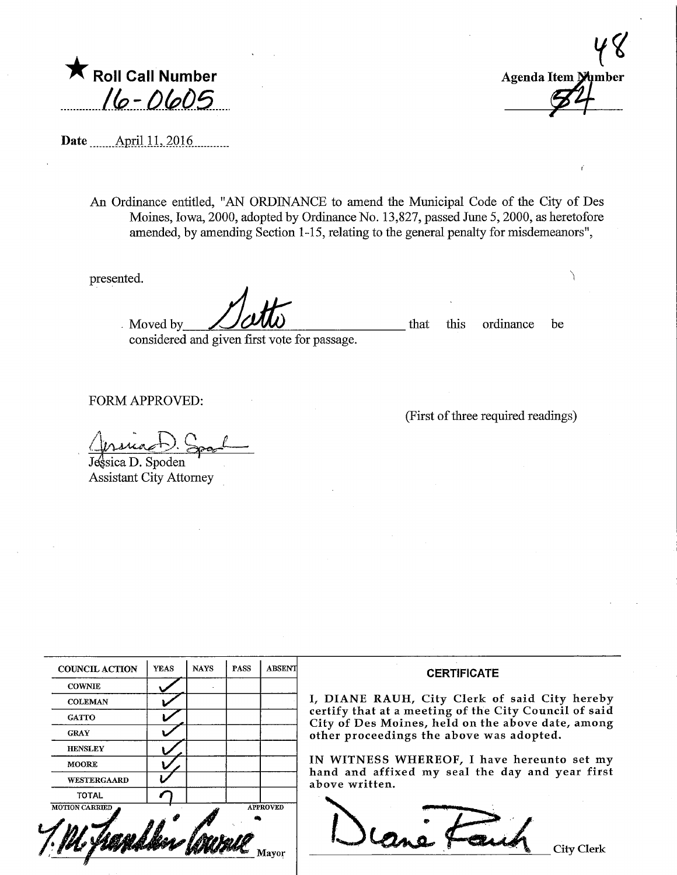$\bigstar$  Roll Call Number  $16 - 0605$ 

Agenda Item Mumber

Date ........ApriUL.2016..

An Ordinance entitled, "AN ORDINANCE to amend the Municipal Code of the City of Des Moines, Iowa, 2000, adopted by Ordmaace No. 13,827, passed June 5,2000, as heretofore amended, by amending Section 1-15, relating to the general penalty for misdemeanors",

presented.

Moved by  $\overrightarrow{U}$   $\overrightarrow{U}$   $\overrightarrow{U}$   $\overrightarrow{U}$  that this ordinance be

(First of three required readings)

considered and given first vote for passage.

FORM APPROVED:

 $-$ 

Jessica D. Spoden Assistant City Attorney

| <b>COUNCIL ACTION</b> | <b>YEAS</b> | <b>NAYS</b> | PASS | <b>ABSENT</b>   |
|-----------------------|-------------|-------------|------|-----------------|
| <b>COWNIE</b>         |             |             |      |                 |
| <b>COLEMAN</b>        |             |             |      |                 |
| <b>GATTO</b>          |             |             |      |                 |
| <b>GRAY</b>           |             |             |      |                 |
| <b>HENSLEY</b>        |             |             |      |                 |
| <b>MOORE</b>          |             |             |      |                 |
| WESTERGAARD           |             |             |      |                 |
| <b>TOTAL</b>          |             |             |      |                 |
| <b>MOTION CARRIED</b> |             |             |      | <b>APPROVED</b> |

## **CERTIFICATE**

IANE RAUH, City Clerk of said City hereby ify that at a meeting of the City Council of said of Des Moines, held on the above date, among er proceedings the above was adopted.

WITNESS WHEREOF, I have hereunto set my d and affixed my seal the day and year first ve written.

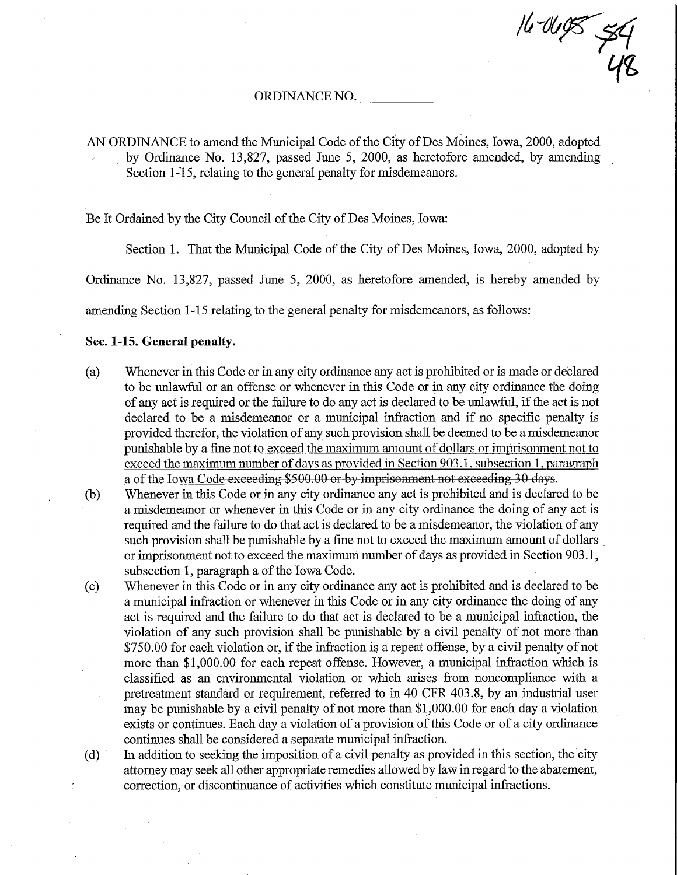$\mu^{\cdot}$ - 1<br>48

## ORDINANCE NO.

AN ORDINANCE to amend the Municipal Code of the City of Des Moines, Iowa, 2000, adopted by Ordinance No. 13,827, passed June 5, 2000, as heretofore amended, by amending Section 1-15, relating to the general penalty for misdemeanors.

Be It Ordained by the City Council of the City of Des Moines, Iowa:

Section 1. That the Municipal Code of the City of Des Moines, Iowa, 2000, adopted by

Ordinance No. 13,827, passed June 5, 2000, as heretofore amended, is hereby amended by

amending Section 1-15 relating to the general penalty for misdemeanors, as follows:

## Sec. 1-15. General penalty.

- (a) Whenever in this Code or m any city ordinance any act is prohibited or is made or declared to be unlawful or an offense or whenever in this Code or in any city ordinance the doing of any act is required or the failure to do any act is declared to be unlawful, if the act is not declared to be a misdemeanor or a municipal mfraction and if no specific penalty is provided therefor, the violation of any such provision shall be deemed to be a misdemeanor punishable by a fine not to exceed the maximum amount of dollars or imprisonment not to exceed the maximum number of days as provided in Section 903.1, subsection 1, paragraph a of the Iowa Code exceeding \$500.00 or by imprisonment not exceeding 30 days.
- (b) Whenever in this Code or in any city ordinance any act is prohibited and is declared to be a misdemeanor or whenever in this Code or in any city ordinance the doing of any act is required and the failure to do that act is declared to be a misdemeanor, the violation of any such provision shall be punishable by a fine not to exceed the maximum amount of dollars or imprisonment not to exceed the maximum number of days as provided in Section 903.1, subsection 1, paragraph a of the Iowa Code.
- (c) Whenever in this Code or m any city ordinance any act is prohibited and is declared to be a municipal mfraction or whenever in this Code or in any city ordinance the doing of any act is required and the failure to do that act is declared to be a municipal infraction, the violation of any such provision shall be punishable by a civil penalty of not more than \$750.00 for each violation or, if the infraction is a repeat offense, by a civil penalty of not more than \$1,000.00 for each repeat offense. However, a municipal infraction which is classified as an environmental violation or which arises from noncompliance with a pretreatment standard or requirement, referred to in 40 CFR 403.8, by an industrial user may be punishable by a civil penalty of not more than \$1,000.00 for each day a violation exists or continues. Each day a violation of a provision of this Code or of a city ordinance continues shall be considered a separate municipal infraction.

(d) In addition to seeking the imposition of a civil penalty as provided in this section, the city attorney may seek all other appropriate remedies allowed by law in regard to the abatement, correction, or discontinuance of activities which constitute municipal infractions.